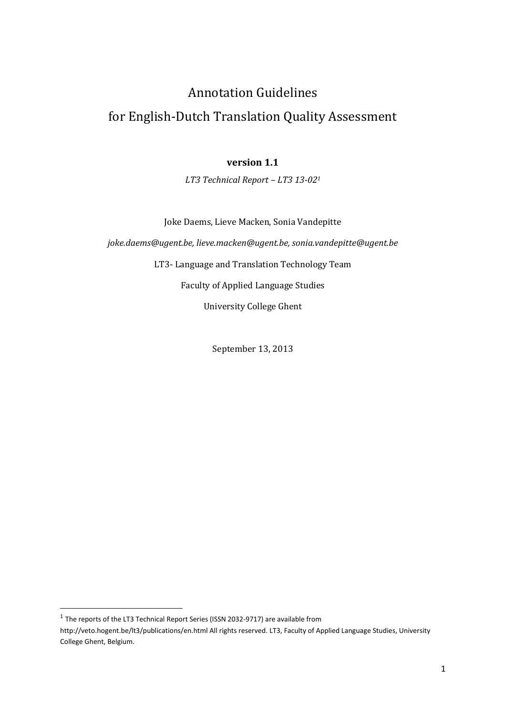# Annotation Guidelines

# for English-Dutch Translation Quality Assessment

# **version 1.1**

*LT3 Technical Report – LT3 13-02<sup>1</sup>*

Joke Daems, Lieve Macken, Sonia Vandepitte

*joke.daems@ugent.be, lieve.macken@ugent.be, sonia.vandepitte@ugent.be*

LT3- Language and Translation Technology Team

Faculty of Applied Language Studies

University College Ghent

September 13, 2013

 $\overline{a}$ 

 $<sup>1</sup>$  The reports of the LT3 Technical Report Series (ISSN 2032-9717) are available from</sup>

http://veto.hogent.be/lt3/publications/en.html All rights reserved. LT3, Faculty of Applied Language Studies, University College Ghent, Belgium.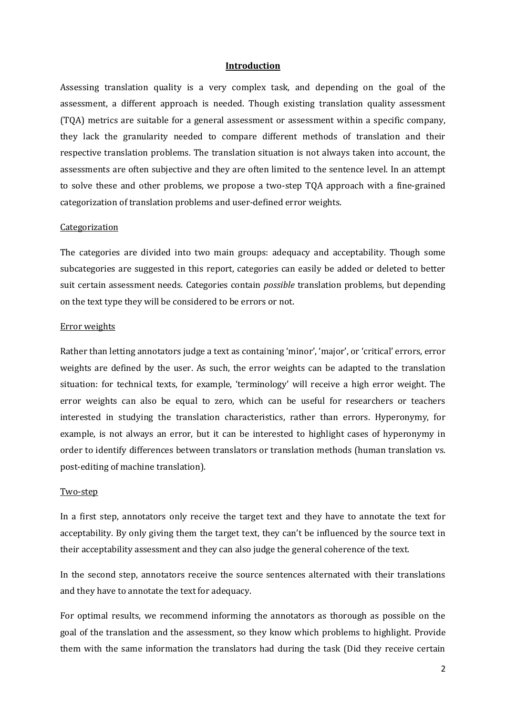#### **Introduction**

Assessing translation quality is a very complex task, and depending on the goal of the assessment, a different approach is needed. Though existing translation quality assessment (TQA) metrics are suitable for a general assessment or assessment within a specific company, they lack the granularity needed to compare different methods of translation and their respective translation problems. The translation situation is not always taken into account, the assessments are often subjective and they are often limited to the sentence level. In an attempt to solve these and other problems, we propose a two-step TQA approach with a fine-grained categorization of translation problems and user-defined error weights.

#### **Categorization**

The categories are divided into two main groups: adequacy and acceptability. Though some subcategories are suggested in this report, categories can easily be added or deleted to better suit certain assessment needs. Categories contain *possible* translation problems, but depending on the text type they will be considered to be errors or not.

#### Error weights

Rather than letting annotators judge a text as containing 'minor', 'major', or 'critical' errors, error weights are defined by the user. As such, the error weights can be adapted to the translation situation: for technical texts, for example, 'terminology' will receive a high error weight. The error weights can also be equal to zero, which can be useful for researchers or teachers interested in studying the translation characteristics, rather than errors. Hyperonymy, for example, is not always an error, but it can be interested to highlight cases of hyperonymy in order to identify differences between translators or translation methods (human translation vs. post-editing of machine translation).

#### Two-step

In a first step, annotators only receive the target text and they have to annotate the text for acceptability. By only giving them the target text, they can't be influenced by the source text in their acceptability assessment and they can also judge the general coherence of the text.

In the second step, annotators receive the source sentences alternated with their translations and they have to annotate the text for adequacy.

For optimal results, we recommend informing the annotators as thorough as possible on the goal of the translation and the assessment, so they know which problems to highlight. Provide them with the same information the translators had during the task (Did they receive certain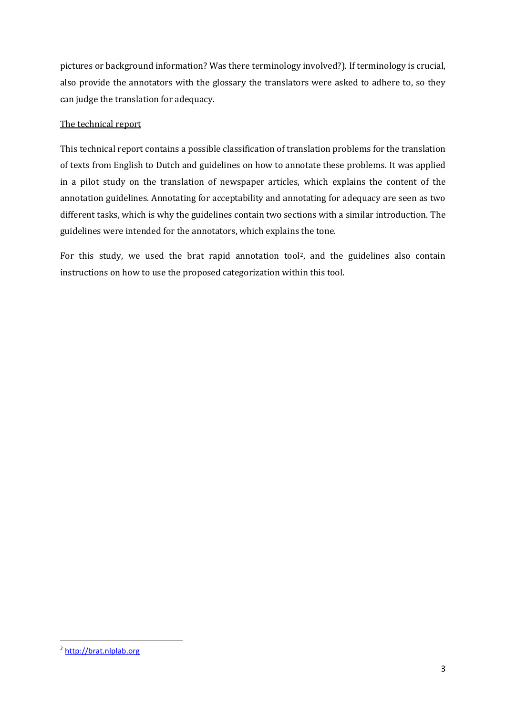pictures or background information? Was there terminology involved?). If terminology is crucial, also provide the annotators with the glossary the translators were asked to adhere to, so they can judge the translation for adequacy.

# The technical report

This technical report contains a possible classification of translation problems for the translation of texts from English to Dutch and guidelines on how to annotate these problems. It was applied in a pilot study on the translation of newspaper articles, which explains the content of the annotation guidelines. Annotating for acceptability and annotating for adequacy are seen as two different tasks, which is why the guidelines contain two sections with a similar introduction. The guidelines were intended for the annotators, which explains the tone.

For this study, we used the brat rapid annotation tool2, and the guidelines also contain instructions on how to use the proposed categorization within this tool.

1

<sup>2</sup> [http://brat.nlplab.org](http://brat.nlplab.org/)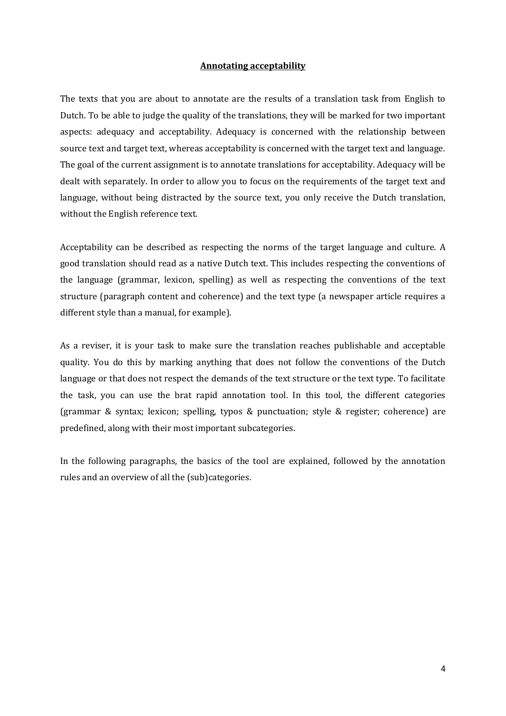# **Annotating acceptability**

The texts that you are about to annotate are the results of a translation task from English to Dutch. To be able to judge the quality of the translations, they will be marked for two important aspects: adequacy and acceptability. Adequacy is concerned with the relationship between source text and target text, whereas acceptability is concerned with the target text and language. The goal of the current assignment is to annotate translations for acceptability. Adequacy will be dealt with separately. In order to allow you to focus on the requirements of the target text and language, without being distracted by the source text, you only receive the Dutch translation, without the English reference text.

Acceptability can be described as respecting the norms of the target language and culture. A good translation should read as a native Dutch text. This includes respecting the conventions of the language (grammar, lexicon, spelling) as well as respecting the conventions of the text structure (paragraph content and coherence) and the text type (a newspaper article requires a different style than a manual, for example).

As a reviser, it is your task to make sure the translation reaches publishable and acceptable quality. You do this by marking anything that does not follow the conventions of the Dutch language or that does not respect the demands of the text structure or the text type. To facilitate the task, you can use the brat rapid annotation tool. In this tool, the different categories (grammar & syntax; lexicon; spelling, typos & punctuation; style & register; coherence) are predefined, along with their most important subcategories.

In the following paragraphs, the basics of the tool are explained, followed by the annotation rules and an overview of all the (sub)categories.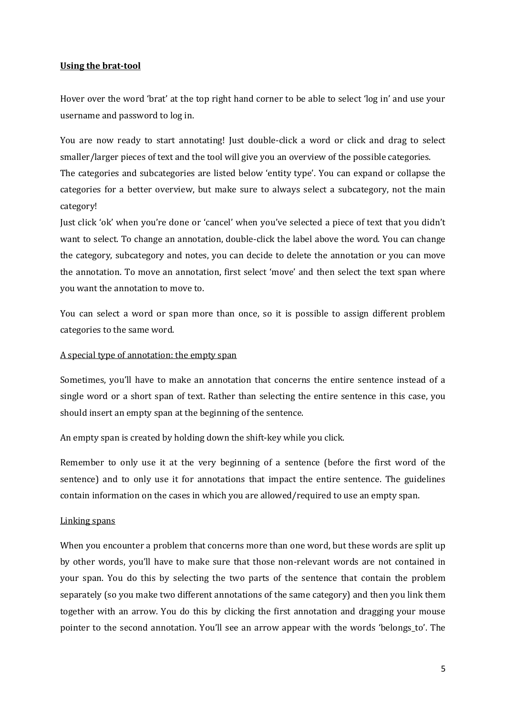# **Using the brat-tool**

Hover over the word 'brat' at the top right hand corner to be able to select 'log in' and use your username and password to log in.

You are now ready to start annotating! Just double-click a word or click and drag to select smaller/larger pieces of text and the tool will give you an overview of the possible categories. The categories and subcategories are listed below 'entity type'. You can expand or collapse the categories for a better overview, but make sure to always select a subcategory, not the main category!

Just click 'ok' when you're done or 'cancel' when you've selected a piece of text that you didn't want to select. To change an annotation, double-click the label above the word. You can change the category, subcategory and notes, you can decide to delete the annotation or you can move the annotation. To move an annotation, first select 'move' and then select the text span where you want the annotation to move to.

You can select a word or span more than once, so it is possible to assign different problem categories to the same word.

## A special type of annotation: the empty span

Sometimes, you'll have to make an annotation that concerns the entire sentence instead of a single word or a short span of text. Rather than selecting the entire sentence in this case, you should insert an empty span at the beginning of the sentence.

An empty span is created by holding down the shift-key while you click.

Remember to only use it at the very beginning of a sentence (before the first word of the sentence) and to only use it for annotations that impact the entire sentence. The guidelines contain information on the cases in which you are allowed/required to use an empty span.

## Linking spans

When you encounter a problem that concerns more than one word, but these words are split up by other words, you'll have to make sure that those non-relevant words are not contained in your span. You do this by selecting the two parts of the sentence that contain the problem separately (so you make two different annotations of the same category) and then you link them together with an arrow. You do this by clicking the first annotation and dragging your mouse pointer to the second annotation. You'll see an arrow appear with the words 'belongs\_to'. The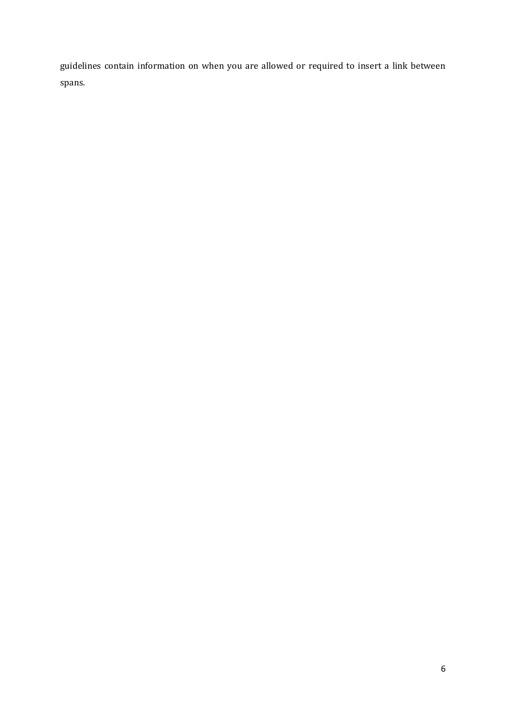guidelines contain information on when you are allowed or required to insert a link between spans.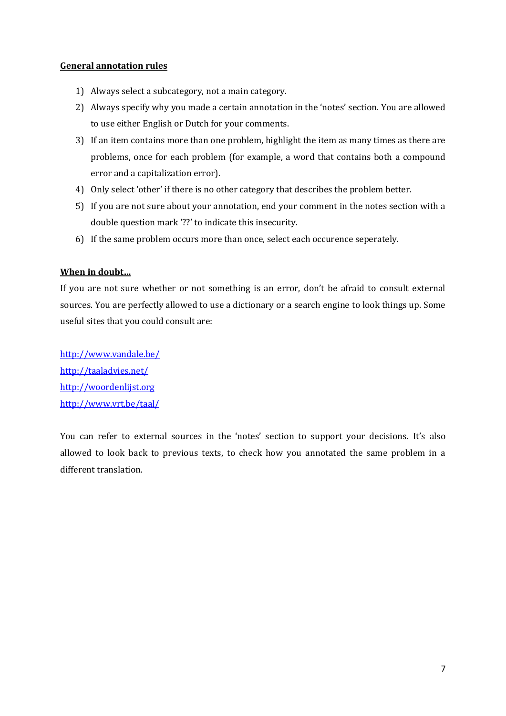# **General annotation rules**

- 1) Always select a subcategory, not a main category.
- 2) Always specify why you made a certain annotation in the 'notes' section. You are allowed to use either English or Dutch for your comments.
- 3) If an item contains more than one problem, highlight the item as many times as there are problems, once for each problem (for example, a word that contains both a compound error and a capitalization error).
- 4) Only select 'other' if there is no other category that describes the problem better.
- 5) If you are not sure about your annotation, end your comment in the notes section with a double question mark '??' to indicate this insecurity.
- 6) If the same problem occurs more than once, select each occurence seperately.

# **When in doubt…**

If you are not sure whether or not something is an error, don't be afraid to consult external sources. You are perfectly allowed to use a dictionary or a search engine to look things up. Some useful sites that you could consult are:

<http://www.vandale.be/> <http://taaladvies.net/> [http://woordenlijst.org](http://woordenlijst.org/) <http://www.vrt.be/taal/>

You can refer to external sources in the 'notes' section to support your decisions. It's also allowed to look back to previous texts, to check how you annotated the same problem in a different translation.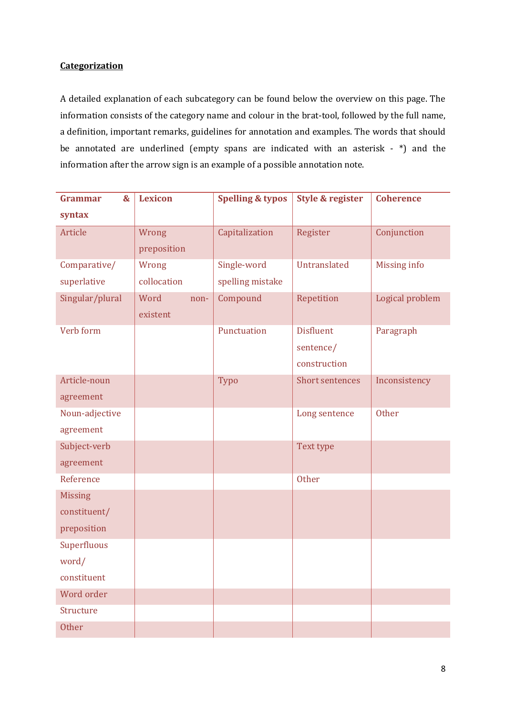# **Categorization**

A detailed explanation of each subcategory can be found below the overview on this page. The information consists of the category name and colour in the brat-tool, followed by the full name, a definition, important remarks, guidelines for annotation and examples. The words that should be annotated are underlined (empty spans are indicated with an asterisk - \*) and the information after the arrow sign is an example of a possible annotation note.

| <b>Grammar</b><br>$\boldsymbol{\mathcal{S}}$ | <b>Lexicon</b> | <b>Spelling &amp; typos</b> | <b>Style &amp; register</b> | <b>Coherence</b> |
|----------------------------------------------|----------------|-----------------------------|-----------------------------|------------------|
| syntax                                       |                |                             |                             |                  |
| Article                                      | Wrong          | Capitalization              | Register                    | Conjunction      |
|                                              | preposition    |                             |                             |                  |
| Comparative/                                 | Wrong          | Single-word                 | Untranslated                | Missing info     |
| superlative                                  | collocation    | spelling mistake            |                             |                  |
| Singular/plural                              | Word<br>non-   | Compound                    | Repetition                  | Logical problem  |
|                                              | existent       |                             |                             |                  |
| Verb form                                    |                | Punctuation                 | <b>Disfluent</b>            | Paragraph        |
|                                              |                |                             | sentence/                   |                  |
|                                              |                |                             | construction                |                  |
| Article-noun                                 |                | Typo                        | <b>Short sentences</b>      | Inconsistency    |
| agreement                                    |                |                             |                             |                  |
| Noun-adjective                               |                |                             | Long sentence               | Other            |
| agreement                                    |                |                             |                             |                  |
| Subject-verb                                 |                |                             | Text type                   |                  |
| agreement                                    |                |                             |                             |                  |
| Reference                                    |                |                             | <b>Other</b>                |                  |
| <b>Missing</b>                               |                |                             |                             |                  |
| constituent/                                 |                |                             |                             |                  |
| preposition                                  |                |                             |                             |                  |
| Superfluous                                  |                |                             |                             |                  |
| word/                                        |                |                             |                             |                  |
| constituent                                  |                |                             |                             |                  |
| Word order                                   |                |                             |                             |                  |
| Structure                                    |                |                             |                             |                  |
| <b>Other</b>                                 |                |                             |                             |                  |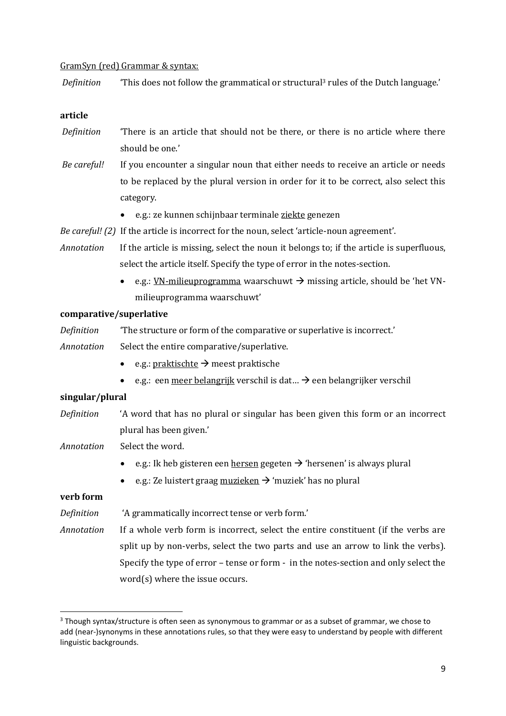## GramSyn (red) Grammar & syntax:

*Definition* 'This does not follow the grammatical or structural<sup>3</sup> rules of the Dutch language.'

#### **article**

- *Definition* 'There is an article that should not be there, or there is no article where there should be one.'
- *Be careful!* If you encounter a singular noun that either needs to receive an article or needs to be replaced by the plural version in order for it to be correct, also select this category.
	- e.g.: ze kunnen schijnbaar terminale ziekte genezen
- *Be careful! (2)* If the article is incorrect for the noun, select 'article-noun agreement'.
- *Annotation* If the article is missing, select the noun it belongs to; if the article is superfluous, select the article itself. Specify the type of error in the notes-section.
	- e.g.: <u>VN-milieuprogramma</u> waarschuwt  $\rightarrow$  missing article, should be 'het VNmilieuprogramma waarschuwt'

# **comparative/superlative**

- *Definition* 'The structure or form of the comparative or superlative is incorrect.'
- *Annotation* Select the entire comparative/superlative.
	- $e.g.: praktische \rightarrow meets praktische$
	- e.g.: een meer belangrijk verschil is dat...  $\rightarrow$  een belangrijker verschil

### **singular/plural**

- *Definition* 'A word that has no plural or singular has been given this form or an incorrect plural has been given.'
- *Annotation* Select the word.
	- e.g.: Ik heb gisteren een hersen gegeten  $\rightarrow$  'hersenen' is always plural
	- e.g.: Ze luistert graag muzieken  $\rightarrow$  'muziek' has no plural

# **verb form**

1

*Definition* 'A grammatically incorrect tense or verb form.'

*Annotation* If a whole verb form is incorrect, select the entire constituent (if the verbs are split up by non-verbs, select the two parts and use an arrow to link the verbs). Specify the type of error – tense or form - in the notes-section and only select the word(s) where the issue occurs.

<sup>&</sup>lt;sup>3</sup> Though syntax/structure is often seen as synonymous to grammar or as a subset of grammar, we chose to add (near-)synonyms in these annotations rules, so that they were easy to understand by people with different linguistic backgrounds.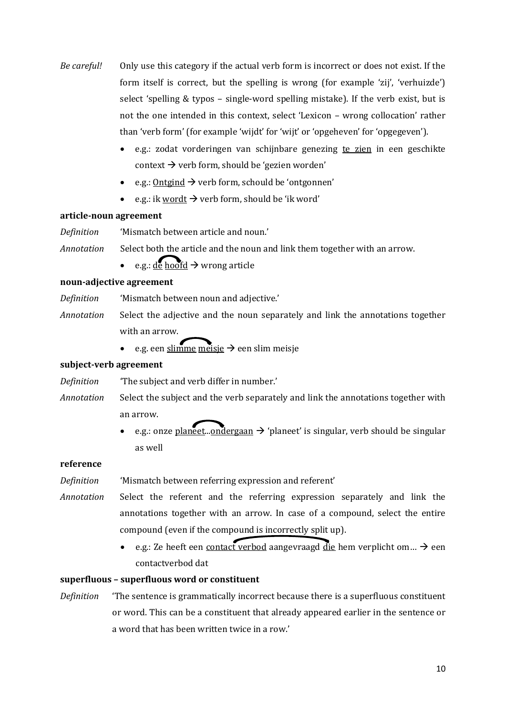- *Be careful!* Only use this category if the actual verb form is incorrect or does not exist. If the form itself is correct, but the spelling is wrong (for example 'zij', 'verhuizde') select 'spelling & typos – single-word spelling mistake). If the verb exist, but is not the one intended in this context, select 'Lexicon – wrong collocation' rather than 'verb form' (for example 'wijdt' for 'wijt' or 'opgeheven' for 'opgegeven').
	- e.g.: zodat vorderingen van schijnbare genezing te zien in een geschikte context  $\rightarrow$  verb form, should be 'gezien worden'
	- e.g.: Ontgind  $\rightarrow$  verb form, schould be 'ontgonnen'
	- e.g.: ik wordt  $\rightarrow$  verb form, should be 'ik word'

## **article-noun agreement**

*Definition* 'Mismatch between article and noun.'

*Annotation* Select both the article and the noun and link them together with an arrow.

e.g.: de hoofd  $\rightarrow$  wrong article

## **noun-adjective agreement**

*Definition* 'Mismatch between noun and adjective.'

- *Annotation* Select the adjective and the noun separately and link the annotations together with an arrow.
	- e.g. een slimme meisje  $\rightarrow$  een slim meisje

## **subject-verb agreement**

*Definition* 'The subject and verb differ in number.'

*Annotation* Select the subject and the verb separately and link the annotations together with an arrow.

> e.g.: onze planeet...ondergaan  $\rightarrow$  'planeet' is singular, verb should be singular as well

## **reference**

*Definition* 'Mismatch between referring expression and referent'

- *Annotation* Select the referent and the referring expression separately and link the annotations together with an arrow. In case of a compound, select the entire compound (even if the compound is incorrectly split up).
	- e.g.: Ze heeft een contact verbod aangevraagd die hem verplicht om...  $\rightarrow$  een contactverbod dat

## **superfluous – superfluous word or constituent**

*Definition* 'The sentence is grammatically incorrect because there is a superfluous constituent or word. This can be a constituent that already appeared earlier in the sentence or a word that has been written twice in a row.'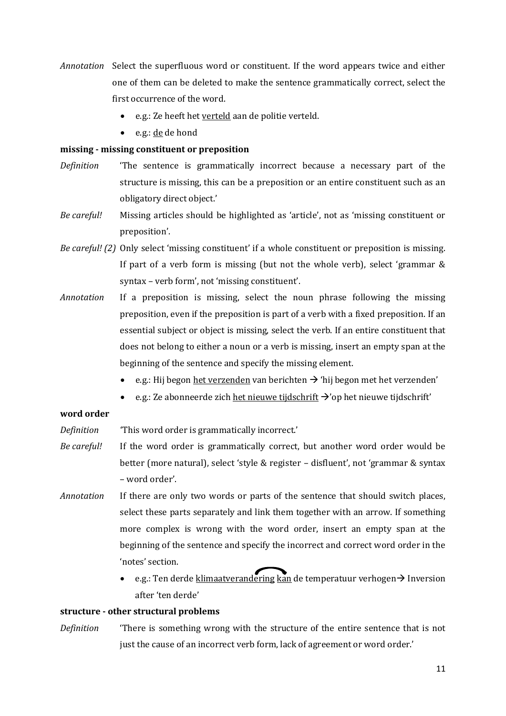- *Annotation* Select the superfluous word or constituent. If the word appears twice and either one of them can be deleted to make the sentence grammatically correct, select the first occurrence of the word.
	- e.g.: Ze heeft het verteld aan de politie verteld.
	- $\bullet$  e.g.: <u>de</u> de hond

## **missing - missing constituent or preposition**

- *Definition* 'The sentence is grammatically incorrect because a necessary part of the structure is missing, this can be a preposition or an entire constituent such as an obligatory direct object.'
- *Be careful!* Missing articles should be highlighted as 'article', not as 'missing constituent or preposition'.
- *Be careful! (2)* Only select 'missing constituent' if a whole constituent or preposition is missing. If part of a verb form is missing (but not the whole verb), select 'grammar & syntax – verb form', not 'missing constituent'.
- *Annotation* If a preposition is missing, select the noun phrase following the missing preposition, even if the preposition is part of a verb with a fixed preposition. If an essential subject or object is missing, select the verb. If an entire constituent that does not belong to either a noun or a verb is missing, insert an empty span at the beginning of the sentence and specify the missing element.
	- e.g.: Hij begon het verzenden van berichten  $\rightarrow$  'hij begon met het verzenden'
	- e.g.: Ze abonneerde zich het nieuwe tijdschrift  $\rightarrow$ 'op het nieuwe tijdschrift'

# **word order**

*Definition* 'This word order is grammatically incorrect.'

- *Be careful!* If the word order is grammatically correct, but another word order would be better (more natural), select 'style & register – disfluent', not 'grammar & syntax – word order'.
- *Annotation* If there are only two words or parts of the sentence that should switch places, select these parts separately and link them together with an arrow. If something more complex is wrong with the word order, insert an empty span at the beginning of the sentence and specify the incorrect and correct word order in the 'notes' section.
	- e.g.: Ten derde klimaatverandering kan de temperatuur verhogen  $\rightarrow$  Inversion after 'ten derde'

## **structure - other structural problems**

*Definition* 'There is something wrong with the structure of the entire sentence that is not just the cause of an incorrect verb form, lack of agreement or word order.'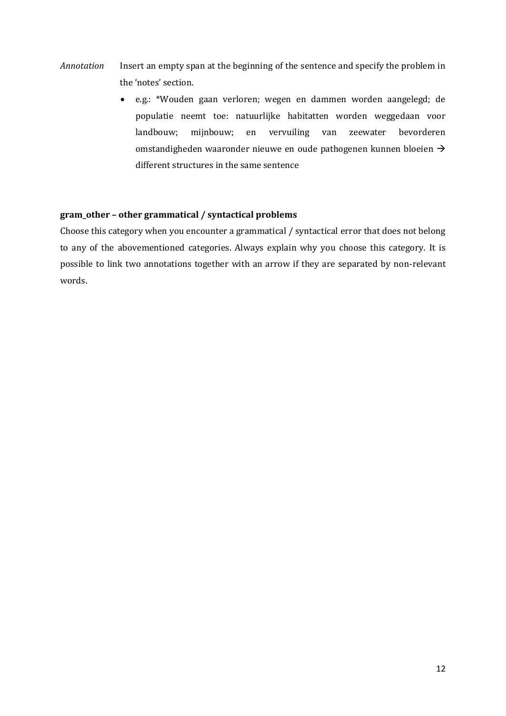- *Annotation* Insert an empty span at the beginning of the sentence and specify the problem in the 'notes' section.
	- e.g.: \*Wouden gaan verloren; wegen en dammen worden aangelegd; de populatie neemt toe: natuurlijke habitatten worden weggedaan voor landbouw; mijnbouw; en vervuiling van zeewater bevorderen omstandigheden waaronder nieuwe en oude pathogenen kunnen bloeien  $\rightarrow$ different structures in the same sentence

# **gram\_other – other grammatical / syntactical problems**

Choose this category when you encounter a grammatical / syntactical error that does not belong to any of the abovementioned categories. Always explain why you choose this category. It is possible to link two annotations together with an arrow if they are separated by non-relevant words.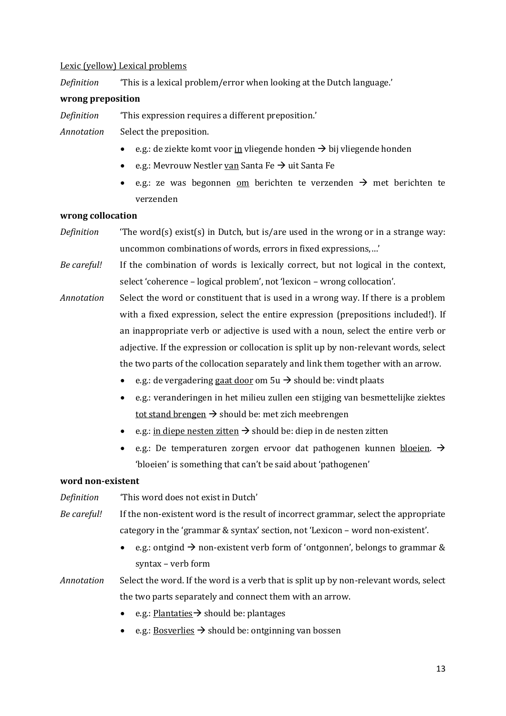## Lexic (yellow) Lexical problems

*Definition* 'This is a lexical problem/error when looking at the Dutch language.'

# **wrong preposition**

*Definition* 'This expression requires a different preposition.'

*Annotation* Select the preposition.

- e.g.: de ziekte komt voor in vliegende honden  $\rightarrow$  bij vliegende honden
- e.g.: Mevrouw Nestler van Santa Fe  $\rightarrow$  uit Santa Fe
- e.g.: ze was begonnen om berichten te verzenden  $\rightarrow$  met berichten te verzenden

## **wrong collocation**

- *Definition* 'The word(s) exist(s) in Dutch, but is/are used in the wrong or in a strange way: uncommon combinations of words, errors in fixed expressions,…'
- *Be careful!* If the combination of words is lexically correct, but not logical in the context, select 'coherence – logical problem', not 'lexicon – wrong collocation'.
- *Annotation* Select the word or constituent that is used in a wrong way. If there is a problem with a fixed expression, select the entire expression (prepositions included!). If an inappropriate verb or adjective is used with a noun, select the entire verb or adjective. If the expression or collocation is split up by non-relevant words, select the two parts of the collocation separately and link them together with an arrow.
	- e.g.: de vergadering gaat door om  $5u \rightarrow$  should be: vindt plaats
	- e.g.: veranderingen in het milieu zullen een stijging van besmettelijke ziektes tot stand brengen  $\rightarrow$  should be: met zich meebrengen
	- e.g.: in diepe nesten zitten  $\rightarrow$  should be: diep in de nesten zitten
	- e.g.: De temperaturen zorgen ervoor dat pathogenen kunnen bloeien.  $\rightarrow$ 'bloeien' is something that can't be said about 'pathogenen'

## **word non-existent**

- *Definition* 'This word does not exist in Dutch'
- *Be careful!* If the non-existent word is the result of incorrect grammar, select the appropriate category in the 'grammar & syntax' section, not 'Lexicon – word non-existent'.
	- e.g.: ontgind  $\rightarrow$  non-existent verb form of 'ontgonnen', belongs to grammar & syntax – verb form
- *Annotation* Select the word. If the word is a verb that is split up by non-relevant words, select the two parts separately and connect them with an arrow.
	- e.g.: Plantaties  $\rightarrow$  should be: plantages
	- e.g.: Bosverlies  $\rightarrow$  should be: ontginning van bossen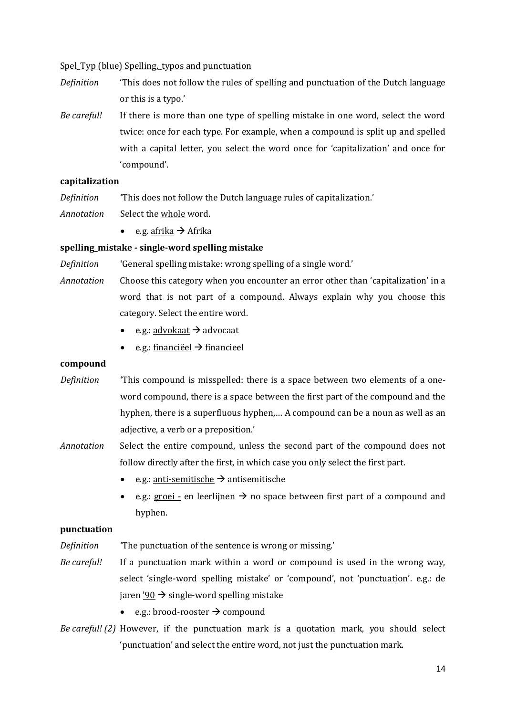## Spel Typ (blue) Spelling, typos and punctuation

- *Definition* 'This does not follow the rules of spelling and punctuation of the Dutch language or this is a typo.'
- *Be careful!* If there is more than one type of spelling mistake in one word, select the word twice: once for each type. For example, when a compound is split up and spelled with a capital letter, you select the word once for 'capitalization' and once for 'compound'.

## **capitalization**

*Definition* 'This does not follow the Dutch language rules of capitalization.'

- *Annotation* Select the whole word.
	- $e.g. afrika \rightarrow Afrika$

## **spelling\_mistake - single-word spelling mistake**

*Definition* 'General spelling mistake: wrong spelling of a single word.'

- *Annotation* Choose this category when you encounter an error other than 'capitalization' in a word that is not part of a compound. Always explain why you choose this category. Select the entire word.
	- e.g.:  $\frac{\text{advokaat}}{\text{advodat}}$
	- e.g.: financieel  $\rightarrow$  financieel

## **compound**

- *Definition* 'This compound is misspelled: there is a space between two elements of a oneword compound, there is a space between the first part of the compound and the hyphen, there is a superfluous hyphen,… A compound can be a noun as well as an adjective, a verb or a preposition.'
- *Annotation* Select the entire compound, unless the second part of the compound does not follow directly after the first, in which case you only select the first part.
	- e.g.: anti-semitische  $\rightarrow$  antisemitische
	- e.g.: groei en leerlijnen  $\rightarrow$  no space between first part of a compound and hyphen.

# **punctuation**

- *Definition* 'The punctuation of the sentence is wrong or missing.'
- *Be careful!* If a punctuation mark within a word or compound is used in the wrong way, select 'single-word spelling mistake' or 'compound', not 'punctuation'. e.g.: de jaren '90  $\rightarrow$  single-word spelling mistake
	- e.g.: brood-rooster  $\rightarrow$  compound
- *Be careful! (2)* However, if the punctuation mark is a quotation mark, you should select 'punctuation' and select the entire word, not just the punctuation mark.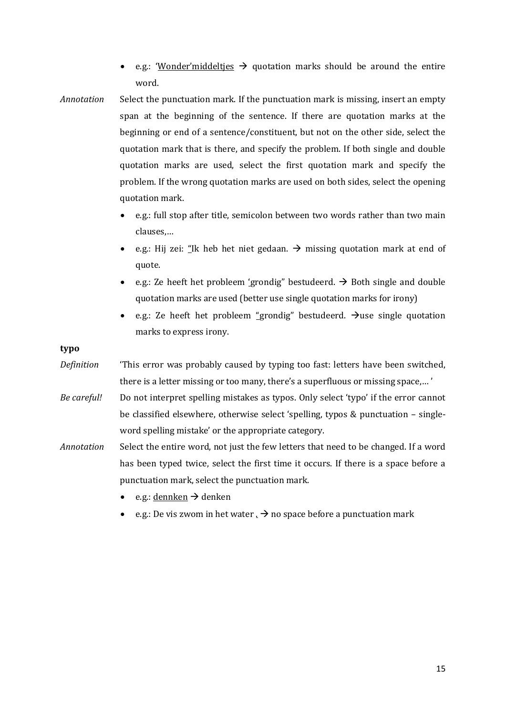- e.g.: 'Wonder'middelties  $\rightarrow$  quotation marks should be around the entire word.
- *Annotation* Select the punctuation mark. If the punctuation mark is missing, insert an empty span at the beginning of the sentence. If there are quotation marks at the beginning or end of a sentence/constituent, but not on the other side, select the quotation mark that is there, and specify the problem. If both single and double quotation marks are used, select the first quotation mark and specify the problem. If the wrong quotation marks are used on both sides, select the opening quotation mark.
	- e.g.: full stop after title, semicolon between two words rather than two main clauses,…
	- e.g.: Hij zei: "Ik heb het niet gedaan.  $\rightarrow$  missing quotation mark at end of quote.
	- e.g.: Ze heeft het probleem 'grondig" bestudeerd.  $\rightarrow$  Both single and double quotation marks are used (better use single quotation marks for irony)
	- e.g.: Ze heeft het probleem "grondig" bestudeerd.  $\rightarrow$ use single quotation marks to express irony.

# **typo**

- *Definition* 'This error was probably caused by typing too fast: letters have been switched, there is a letter missing or too many, there's a superfluous or missing space,… '
- *Be careful!* Do not interpret spelling mistakes as typos. Only select 'typo' if the error cannot be classified elsewhere, otherwise select 'spelling, typos & punctuation – singleword spelling mistake' or the appropriate category.
- *Annotation* Select the entire word, not just the few letters that need to be changed. If a word has been typed twice, select the first time it occurs. If there is a space before a punctuation mark, select the punctuation mark.
	- $e.g.: dennken \rightarrow denken$
	- e.g.: De vis zwom in het water  $\rightarrow$  no space before a punctuation mark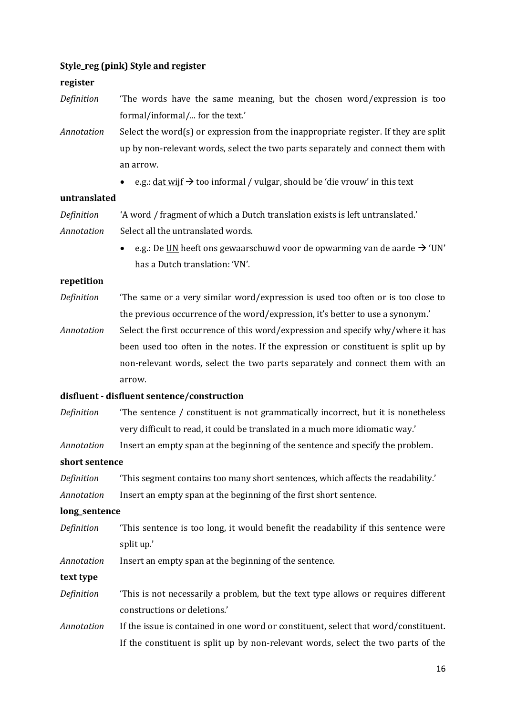# **Style\_reg (pink) Style and register**

### **register**

- *Definition* 'The words have the same meaning, but the chosen word/expression is too formal/informal/... for the text.'
- *Annotation* Select the word(s) or expression from the inappropriate register. If they are split up by non-relevant words, select the two parts separately and connect them with an arrow.
	- e.g.:  $\frac{dat}{dt} \rightarrow \frac{to}{gt}$  too informal / vulgar, should be 'die vrouw' in this text

#### **untranslated**

| Definition | 'A word / fragment of which a Dutch translation exists is left untranslated.' |
|------------|-------------------------------------------------------------------------------|
| Annotation | Select all the untranslated words.                                            |

• e.g.: De UN heeft ons gewaarschuwd voor de opwarming van de aarde  $\rightarrow$  'UN' has a Dutch translation: 'VN'.

#### **repetition**

- *Definition* 'The same or a very similar word/expression is used too often or is too close to the previous occurrence of the word/expression, it's better to use a synonym.'
- *Annotation* Select the first occurrence of this word/expression and specify why/where it has been used too often in the notes. If the expression or constituent is split up by non-relevant words, select the two parts separately and connect them with an arrow.

# **disfluent - disfluent sentence/construction**

*Definition* 'The sentence / constituent is not grammatically incorrect, but it is nonetheless very difficult to read, it could be translated in a much more idiomatic way.'

*Annotation* Insert an empty span at the beginning of the sentence and specify the problem.

# **short sentence**

*Definition* 'This segment contains too many short sentences, which affects the readability.'

*Annotation* Insert an empty span at the beginning of the first short sentence.

### **long\_sentence**

- *Definition* 'This sentence is too long, it would benefit the readability if this sentence were split up.'
- *Annotation* Insert an empty span at the beginning of the sentence.

**text type**

- *Definition* 'This is not necessarily a problem, but the text type allows or requires different constructions or deletions.'
- *Annotation* If the issue is contained in one word or constituent, select that word/constituent. If the constituent is split up by non-relevant words, select the two parts of the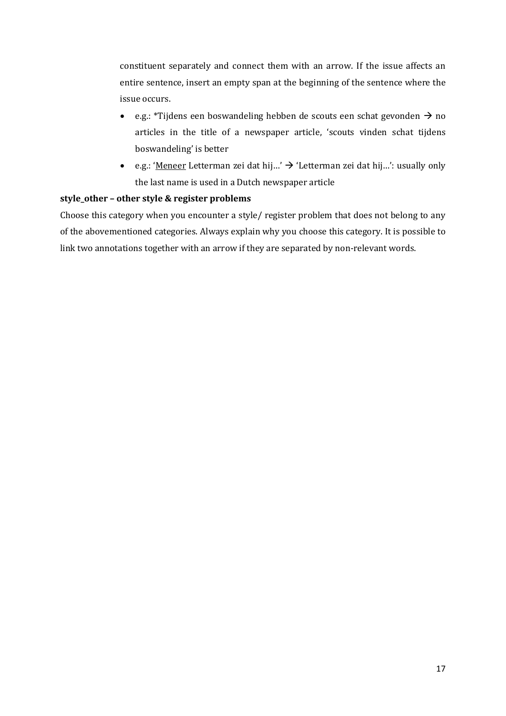constituent separately and connect them with an arrow. If the issue affects an entire sentence, insert an empty span at the beginning of the sentence where the issue occurs.

- e.g.: \*Tijdens een boswandeling hebben de scouts een schat gevonden  $\rightarrow$  no articles in the title of a newspaper article, 'scouts vinden schat tijdens boswandeling' is better
- e.g.: 'Meneer Letterman zei dat hij...' → 'Letterman zei dat hij...': usually only the last name is used in a Dutch newspaper article

# **style\_other – other style & register problems**

Choose this category when you encounter a style/ register problem that does not belong to any of the abovementioned categories. Always explain why you choose this category. It is possible to link two annotations together with an arrow if they are separated by non-relevant words.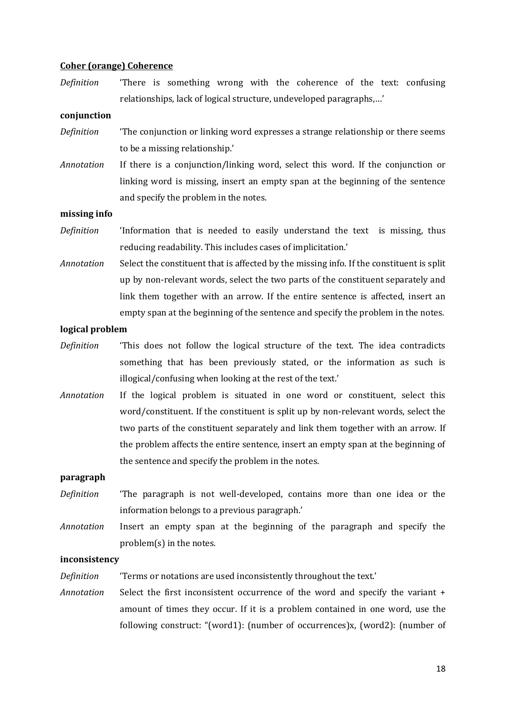## **Coher (orange) Coherence**

*Definition* 'There is something wrong with the coherence of the text: confusing relationships, lack of logical structure, undeveloped paragraphs,…'

#### **conjunction**

- *Definition* <sup>'The</sup> conjunction or linking word expresses a strange relationship or there seems to be a missing relationship.'
- *Annotation* If there is a conjunction/linking word, select this word. If the conjunction or linking word is missing, insert an empty span at the beginning of the sentence and specify the problem in the notes.

#### **missing info**

- *Definition* 'Information that is needed to easily understand the text is missing, thus reducing readability. This includes cases of implicitation.'
- *Annotation* Select the constituent that is affected by the missing info. If the constituent is split up by non-relevant words, select the two parts of the constituent separately and link them together with an arrow. If the entire sentence is affected, insert an empty span at the beginning of the sentence and specify the problem in the notes.

#### **logical problem**

- *Definition* 'This does not follow the logical structure of the text. The idea contradicts something that has been previously stated, or the information as such is illogical/confusing when looking at the rest of the text.'
- *Annotation* If the logical problem is situated in one word or constituent, select this word/constituent. If the constituent is split up by non-relevant words, select the two parts of the constituent separately and link them together with an arrow. If the problem affects the entire sentence, insert an empty span at the beginning of the sentence and specify the problem in the notes.

## **paragraph**

- *Definition* 'The paragraph is not well-developed, contains more than one idea or the information belongs to a previous paragraph.'
- *Annotation* Insert an empty span at the beginning of the paragraph and specify the problem(s) in the notes.

#### **inconsistency**

*Definition* 'Terms or notations are used inconsistently throughout the text.'

*Annotation* Select the first inconsistent occurrence of the word and specify the variant + amount of times they occur. If it is a problem contained in one word, use the following construct: "(word1): (number of occurrences)x, (word2): (number of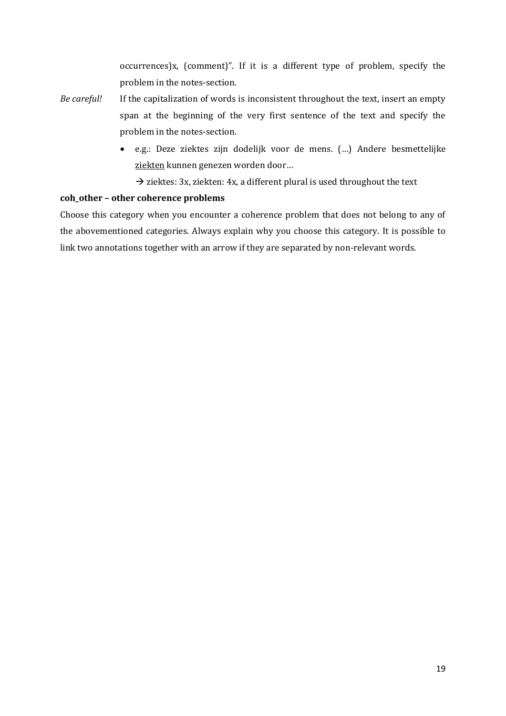occurrences)x, (comment)". If it is a different type of problem, specify the problem in the notes-section.

- *Be careful!* If the capitalization of words is inconsistent throughout the text, insert an empty span at the beginning of the very first sentence of the text and specify the problem in the notes-section.
	- e.g.: Deze ziektes zijn dodelijk voor de mens. (…) Andere besmettelijke ziekten kunnen genezen worden door...

 $\rightarrow$  ziektes: 3x, ziekten: 4x, a different plural is used throughout the text

# **coh\_other – other coherence problems**

Choose this category when you encounter a coherence problem that does not belong to any of the abovementioned categories. Always explain why you choose this category. It is possible to link two annotations together with an arrow if they are separated by non-relevant words.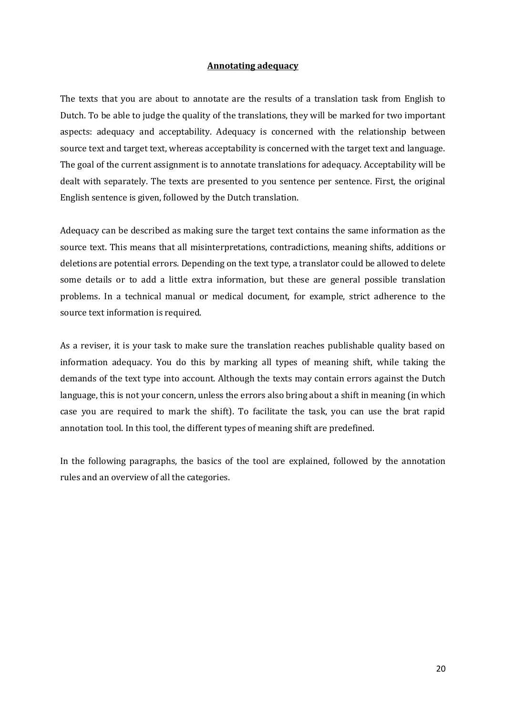# **Annotating adequacy**

The texts that you are about to annotate are the results of a translation task from English to Dutch. To be able to judge the quality of the translations, they will be marked for two important aspects: adequacy and acceptability. Adequacy is concerned with the relationship between source text and target text, whereas acceptability is concerned with the target text and language. The goal of the current assignment is to annotate translations for adequacy. Acceptability will be dealt with separately. The texts are presented to you sentence per sentence. First, the original English sentence is given, followed by the Dutch translation.

Adequacy can be described as making sure the target text contains the same information as the source text. This means that all misinterpretations, contradictions, meaning shifts, additions or deletions are potential errors. Depending on the text type, a translator could be allowed to delete some details or to add a little extra information, but these are general possible translation problems. In a technical manual or medical document, for example, strict adherence to the source text information is required.

As a reviser, it is your task to make sure the translation reaches publishable quality based on information adequacy. You do this by marking all types of meaning shift, while taking the demands of the text type into account. Although the texts may contain errors against the Dutch language, this is not your concern, unless the errors also bring about a shift in meaning (in which case you are required to mark the shift). To facilitate the task, you can use the brat rapid annotation tool. In this tool, the different types of meaning shift are predefined.

In the following paragraphs, the basics of the tool are explained, followed by the annotation rules and an overview of all the categories.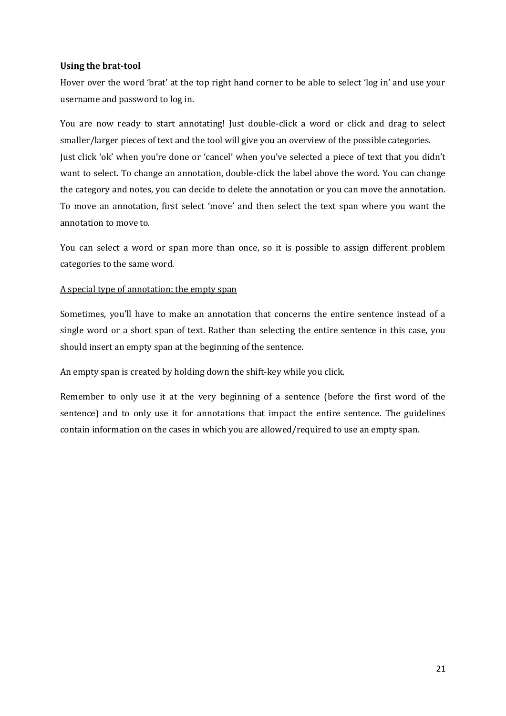# **Using the brat-tool**

Hover over the word 'brat' at the top right hand corner to be able to select 'log in' and use your username and password to log in.

You are now ready to start annotating! Just double-click a word or click and drag to select smaller/larger pieces of text and the tool will give you an overview of the possible categories. Just click 'ok' when you're done or 'cancel' when you've selected a piece of text that you didn't want to select. To change an annotation, double-click the label above the word. You can change the category and notes, you can decide to delete the annotation or you can move the annotation. To move an annotation, first select 'move' and then select the text span where you want the annotation to move to.

You can select a word or span more than once, so it is possible to assign different problem categories to the same word.

# A special type of annotation: the empty span

Sometimes, you'll have to make an annotation that concerns the entire sentence instead of a single word or a short span of text. Rather than selecting the entire sentence in this case, you should insert an empty span at the beginning of the sentence.

An empty span is created by holding down the shift-key while you click.

Remember to only use it at the very beginning of a sentence (before the first word of the sentence) and to only use it for annotations that impact the entire sentence. The guidelines contain information on the cases in which you are allowed/required to use an empty span.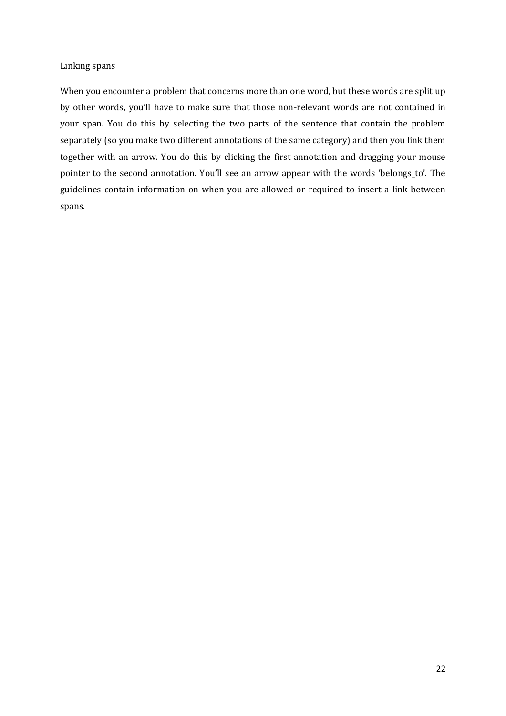### Linking spans

When you encounter a problem that concerns more than one word, but these words are split up by other words, you'll have to make sure that those non-relevant words are not contained in your span. You do this by selecting the two parts of the sentence that contain the problem separately (so you make two different annotations of the same category) and then you link them together with an arrow. You do this by clicking the first annotation and dragging your mouse pointer to the second annotation. You'll see an arrow appear with the words 'belongs\_to'. The guidelines contain information on when you are allowed or required to insert a link between spans.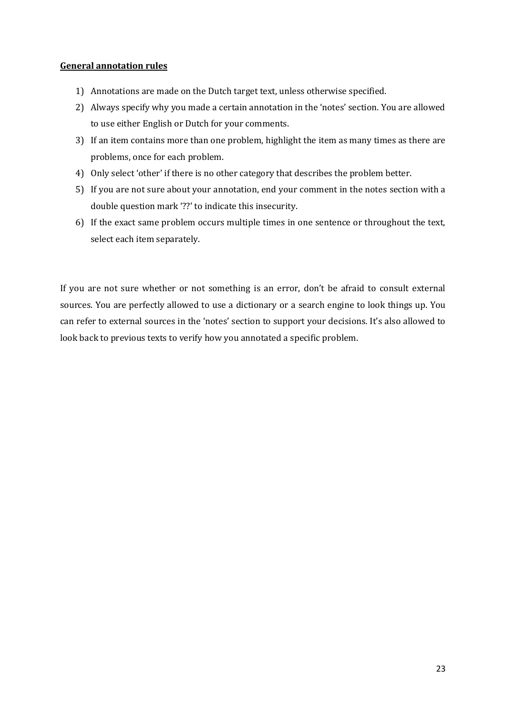# **General annotation rules**

- 1) Annotations are made on the Dutch target text, unless otherwise specified.
- 2) Always specify why you made a certain annotation in the 'notes' section. You are allowed to use either English or Dutch for your comments.
- 3) If an item contains more than one problem, highlight the item as many times as there are problems, once for each problem.
- 4) Only select 'other' if there is no other category that describes the problem better.
- 5) If you are not sure about your annotation, end your comment in the notes section with a double question mark '??' to indicate this insecurity.
- 6) If the exact same problem occurs multiple times in one sentence or throughout the text, select each item separately.

If you are not sure whether or not something is an error, don't be afraid to consult external sources. You are perfectly allowed to use a dictionary or a search engine to look things up. You can refer to external sources in the 'notes' section to support your decisions. It's also allowed to look back to previous texts to verify how you annotated a specific problem.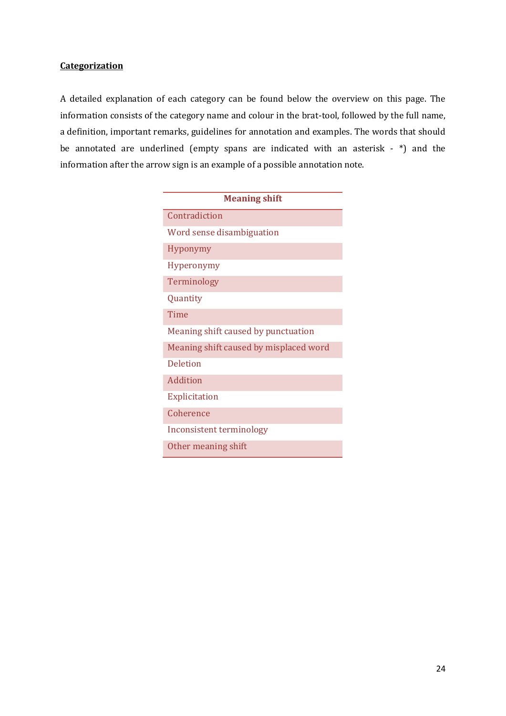# **Categorization**

A detailed explanation of each category can be found below the overview on this page. The information consists of the category name and colour in the brat-tool, followed by the full name, a definition, important remarks, guidelines for annotation and examples. The words that should be annotated are underlined (empty spans are indicated with an asterisk - \*) and the information after the arrow sign is an example of a possible annotation note.

| <b>Meaning shift</b>                   |  |  |  |
|----------------------------------------|--|--|--|
| Contradiction                          |  |  |  |
| Word sense disambiguation              |  |  |  |
| <b>Hyponymy</b>                        |  |  |  |
| <b>Hyperonymy</b>                      |  |  |  |
| Terminology                            |  |  |  |
| Quantity                               |  |  |  |
| Time                                   |  |  |  |
| Meaning shift caused by punctuation    |  |  |  |
| Meaning shift caused by misplaced word |  |  |  |
| <b>Deletion</b>                        |  |  |  |
| <b>Addition</b>                        |  |  |  |
| Explicitation                          |  |  |  |
| Coherence                              |  |  |  |
| Inconsistent terminology               |  |  |  |
| Other meaning shift                    |  |  |  |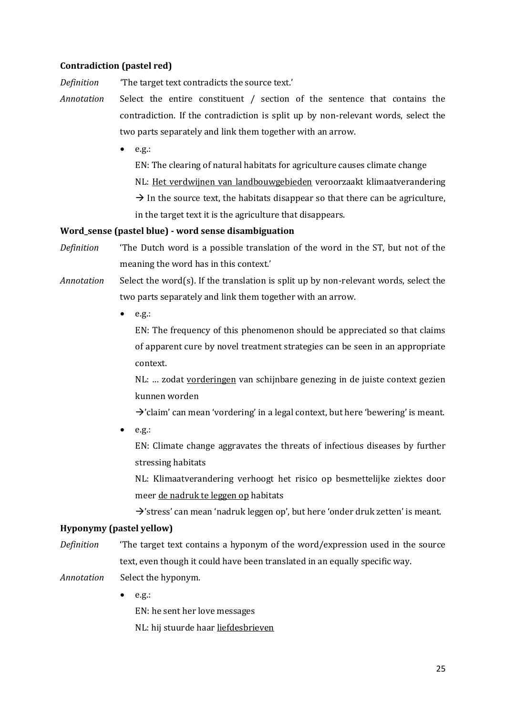# **Contradiction (pastel red)**

*Definition* 'The target text contradicts the source text.'

- *Annotation* Select the entire constituent / section of the sentence that contains the contradiction. If the contradiction is split up by non-relevant words, select the two parts separately and link them together with an arrow.
	- $e.g.:$

EN: The clearing of natural habitats for agriculture causes climate change NL: Het verdwijnen van landbouwgebieden veroorzaakt klimaatverandering  $\rightarrow$  In the source text, the habitats disappear so that there can be agriculture, in the target text it is the agriculture that disappears.

## **Word\_sense (pastel blue) - word sense disambiguation**

- *Definition* 'The Dutch word is a possible translation of the word in the ST, but not of the meaning the word has in this context.'
- *Annotation* Select the word(s). If the translation is split up by non-relevant words, select the two parts separately and link them together with an arrow.
	- $e.g.:$

EN: The frequency of this phenomenon should be appreciated so that claims of apparent cure by novel treatment strategies can be seen in an appropriate context.

NL: … zodat vorderingen van schijnbare genezing in de juiste context gezien kunnen worden

 $\rightarrow$ 'claim' can mean 'vordering' in a legal context, but here 'bewering' is meant.

 $e.g.:$ 

EN: Climate change aggravates the threats of infectious diseases by further stressing habitats

NL: Klimaatverandering verhoogt het risico op besmettelijke ziektes door meer de nadruk te leggen op habitats

 $\rightarrow$ 'stress' can mean 'nadruk leggen op', but here 'onder druk zetten' is meant.

## **Hyponymy (pastel yellow)**

*Definition* 'The target text contains a hyponym of the word/expression used in the source text, even though it could have been translated in an equally specific way.

*Annotation* Select the hyponym.

 $e.g.:$ 

EN: he sent her love messages NL: hij stuurde haar liefdesbrieven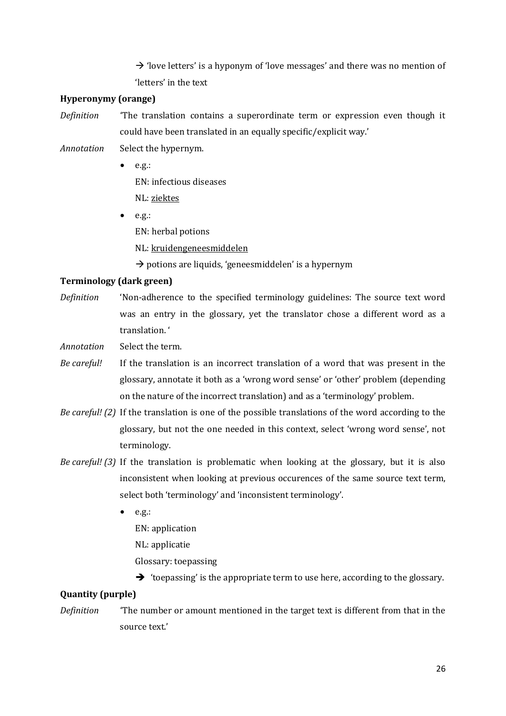$\rightarrow$  'love letters' is a hyponym of 'love messages' and there was no mention of 'letters' in the text

# **Hyperonymy (orange)**

*Definition* 'The translation contains a superordinate term or expression even though it could have been translated in an equally specific/explicit way.'

- *Annotation* Select the hypernym.
	- $e.g.:$ EN: infectious diseases NL: ziektes
	- $e.g.:$ EN: herbal potions NL: kruidengeneesmiddelen

 $\rightarrow$  potions are liquids, 'geneesmiddelen' is a hypernym

# **Terminology (dark green)**

*Definition* 'Non-adherence to the specified terminology guidelines: The source text word was an entry in the glossary, yet the translator chose a different word as a translation. '

*Annotation* Select the term.

- *Be careful!* If the translation is an incorrect translation of a word that was present in the glossary, annotate it both as a 'wrong word sense' or 'other' problem (depending on the nature of the incorrect translation) and as a 'terminology' problem.
- *Be careful! (2)* If the translation is one of the possible translations of the word according to the glossary, but not the one needed in this context, select 'wrong word sense', not terminology.
- *Be careful! (3)* If the translation is problematic when looking at the glossary, but it is also inconsistent when looking at previous occurences of the same source text term, select both 'terminology' and 'inconsistent terminology'.
	- $e.g.:$ EN: application NL: applicatie
		- Glossary: toepassing
		- $\rightarrow$  'toepassing' is the appropriate term to use here, according to the glossary.

## **Quantity (purple)**

*Definition* 'The number or amount mentioned in the target text is different from that in the source text.'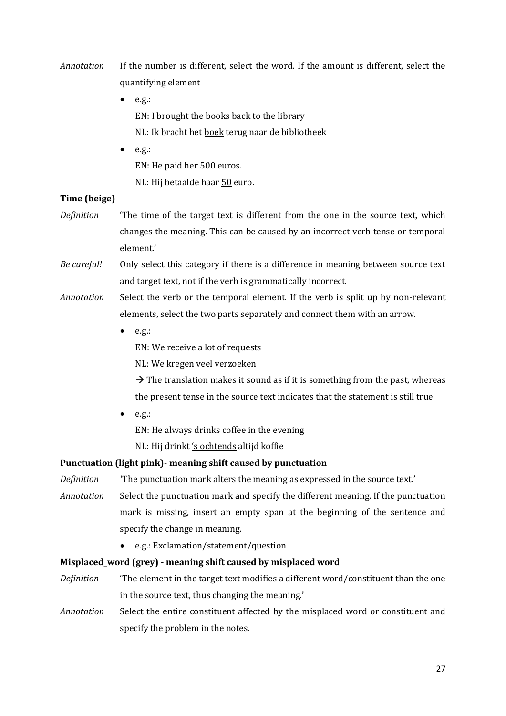- *Annotation* If the number is different, select the word. If the amount is different, select the quantifying element
	- $e.g.:$ EN: I brought the books back to the library NL: Ik bracht het boek terug naar de bibliotheek
	- $e.g.:$ EN: He paid her 500 euros. NL: Hij betaalde haar 50 euro.

# **Time (beige)**

- *Definition* 'The time of the target text is different from the one in the source text, which changes the meaning. This can be caused by an incorrect verb tense or temporal element.'
- *Be careful!* Only select this category if there is a difference in meaning between source text and target text, not if the verb is grammatically incorrect.
- *Annotation* Select the verb or the temporal element. If the verb is split up by non-relevant elements, select the two parts separately and connect them with an arrow.
	- $e.g.:$

EN: We receive a lot of requests

NL: We kregen veel verzoeken

 $\rightarrow$  The translation makes it sound as if it is something from the past, whereas the present tense in the source text indicates that the statement is still true.

 $e.g.:$ 

EN: He always drinks coffee in the evening

NL: Hij drinkt 's ochtends altijd koffie

# **Punctuation (light pink)- meaning shift caused by punctuation**

*Definition* 'The punctuation mark alters the meaning as expressed in the source text.'

*Annotation* Select the punctuation mark and specify the different meaning. If the punctuation mark is missing, insert an empty span at the beginning of the sentence and specify the change in meaning.

e.g.: Exclamation/statement/question

# **Misplaced\_word (grey) - meaning shift caused by misplaced word**

- *Definition* 'The element in the target text modifies a different word/constituent than the one in the source text, thus changing the meaning.'
- *Annotation* Select the entire constituent affected by the misplaced word or constituent and specify the problem in the notes.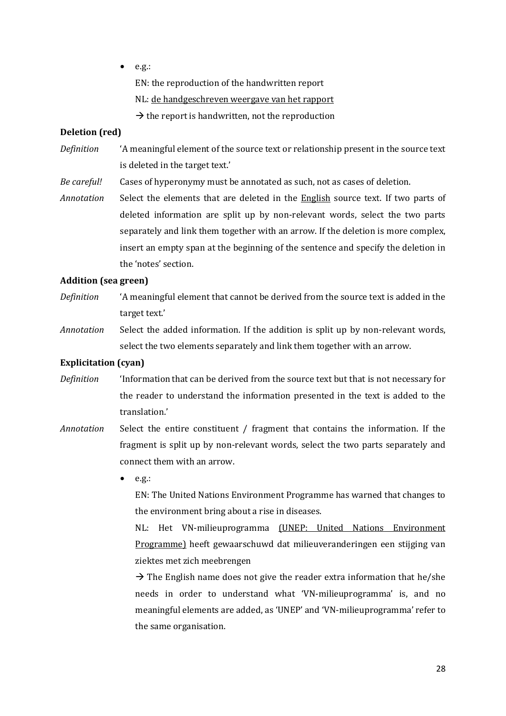$e.g.:$ 

EN: the reproduction of the handwritten report

NL: de handgeschreven weergave van het rapport

 $\rightarrow$  the report is handwritten, not the reproduction

# **Deletion (red)**

- *Definition* 'A meaningful element of the source text or relationship present in the source text is deleted in the target text.'
- *Be careful!* Cases of hyperonymy must be annotated as such, not as cases of deletion.

*Annotation* Select the elements that are deleted in the English source text. If two parts of deleted information are split up by non-relevant words, select the two parts separately and link them together with an arrow. If the deletion is more complex, insert an empty span at the beginning of the sentence and specify the deletion in the 'notes' section.

# **Addition (sea green)**

- *Definition* 'A meaningful element that cannot be derived from the source text is added in the target text.'
- *Annotation* Select the added information. If the addition is split up by non-relevant words, select the two elements separately and link them together with an arrow.

# **Explicitation (cyan)**

- *Definition* 'Information that can be derived from the source text but that is not necessary for the reader to understand the information presented in the text is added to the translation.'
- *Annotation* Select the entire constituent / fragment that contains the information. If the fragment is split up by non-relevant words, select the two parts separately and connect them with an arrow.
	- e.g.:

EN: The United Nations Environment Programme has warned that changes to the environment bring about a rise in diseases.

NL: Het VN-milieuprogramma (UNEP: United Nations Environment Programme) heeft gewaarschuwd dat milieuveranderingen een stijging van ziektes met zich meebrengen

 $\rightarrow$  The English name does not give the reader extra information that he/she needs in order to understand what 'VN-milieuprogramma' is, and no meaningful elements are added, as 'UNEP' and 'VN-milieuprogramma' refer to the same organisation.